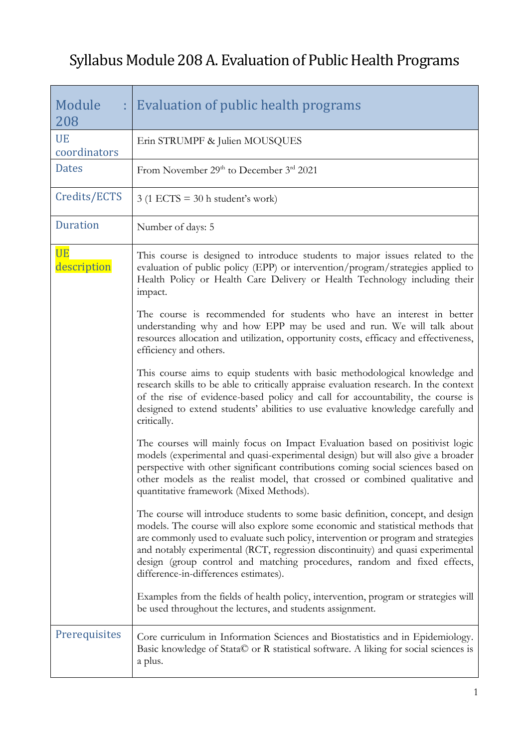## Syllabus Module 208 A. Evaluation of Public Health Programs

| Module<br>208             | : Evaluation of public health programs                                                                                                                                                                                                                                                                                                                                                                                                                                                                                                                                                                                                                                                                                                                                                                                                                                                                                                                                                                                                                                                                                                                                                                                                                                      |
|---------------------------|-----------------------------------------------------------------------------------------------------------------------------------------------------------------------------------------------------------------------------------------------------------------------------------------------------------------------------------------------------------------------------------------------------------------------------------------------------------------------------------------------------------------------------------------------------------------------------------------------------------------------------------------------------------------------------------------------------------------------------------------------------------------------------------------------------------------------------------------------------------------------------------------------------------------------------------------------------------------------------------------------------------------------------------------------------------------------------------------------------------------------------------------------------------------------------------------------------------------------------------------------------------------------------|
| <b>UE</b><br>coordinators | Erin STRUMPF & Julien MOUSQUES                                                                                                                                                                                                                                                                                                                                                                                                                                                                                                                                                                                                                                                                                                                                                                                                                                                                                                                                                                                                                                                                                                                                                                                                                                              |
| <b>Dates</b>              | From November 29 <sup>th</sup> to December 3 <sup>rd</sup> 2021                                                                                                                                                                                                                                                                                                                                                                                                                                                                                                                                                                                                                                                                                                                                                                                                                                                                                                                                                                                                                                                                                                                                                                                                             |
| Credits/ECTS              | $3(1$ ECTS = 30 h student's work)                                                                                                                                                                                                                                                                                                                                                                                                                                                                                                                                                                                                                                                                                                                                                                                                                                                                                                                                                                                                                                                                                                                                                                                                                                           |
| <b>Duration</b>           | Number of days: 5                                                                                                                                                                                                                                                                                                                                                                                                                                                                                                                                                                                                                                                                                                                                                                                                                                                                                                                                                                                                                                                                                                                                                                                                                                                           |
| <b>UE</b><br>description  | This course is designed to introduce students to major issues related to the<br>evaluation of public policy (EPP) or intervention/program/strategies applied to<br>Health Policy or Health Care Delivery or Health Technology including their<br>impact.<br>The course is recommended for students who have an interest in better<br>understanding why and how EPP may be used and run. We will talk about<br>resources allocation and utilization, opportunity costs, efficacy and effectiveness,<br>efficiency and others.<br>This course aims to equip students with basic methodological knowledge and<br>research skills to be able to critically appraise evaluation research. In the context<br>of the rise of evidence-based policy and call for accountability, the course is<br>designed to extend students' abilities to use evaluative knowledge carefully and<br>critically.<br>The courses will mainly focus on Impact Evaluation based on positivist logic<br>models (experimental and quasi-experimental design) but will also give a broader<br>perspective with other significant contributions coming social sciences based on<br>other models as the realist model, that crossed or combined qualitative and<br>quantitative framework (Mixed Methods). |
|                           | The course will introduce students to some basic definition, concept, and design<br>models. The course will also explore some economic and statistical methods that<br>are commonly used to evaluate such policy, intervention or program and strategies<br>and notably experimental (RCT, regression discontinuity) and quasi experimental<br>design (group control and matching procedures, random and fixed effects,<br>difference-in-differences estimates).<br>Examples from the fields of health policy, intervention, program or strategies will                                                                                                                                                                                                                                                                                                                                                                                                                                                                                                                                                                                                                                                                                                                     |
|                           | be used throughout the lectures, and students assignment.                                                                                                                                                                                                                                                                                                                                                                                                                                                                                                                                                                                                                                                                                                                                                                                                                                                                                                                                                                                                                                                                                                                                                                                                                   |
| Prerequisites             | Core curriculum in Information Sciences and Biostatistics and in Epidemiology.<br>Basic knowledge of Stata© or R statistical software. A liking for social sciences is<br>a plus.                                                                                                                                                                                                                                                                                                                                                                                                                                                                                                                                                                                                                                                                                                                                                                                                                                                                                                                                                                                                                                                                                           |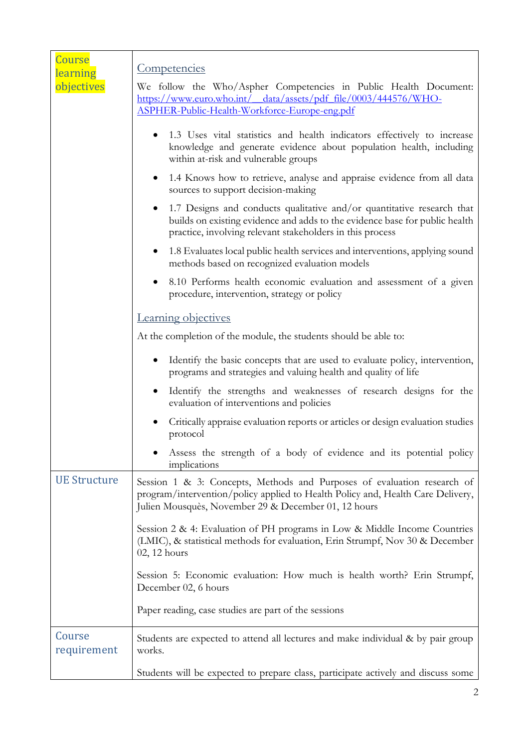| Course<br>learning    | Competencies                                                                                                                                                                                                                    |
|-----------------------|---------------------------------------------------------------------------------------------------------------------------------------------------------------------------------------------------------------------------------|
| objectives            | We follow the Who/Aspher Competencies in Public Health Document:<br>https://www.euro.who.int/ data/assets/pdf file/0003/444576/WHO-<br>ASPHER-Public-Health-Workforce-Europe-eng.pdf                                            |
|                       | 1.3 Uses vital statistics and health indicators effectively to increase<br>$\bullet$<br>knowledge and generate evidence about population health, including<br>within at-risk and vulnerable groups                              |
|                       | 1.4 Knows how to retrieve, analyse and appraise evidence from all data<br>$\bullet$<br>sources to support decision-making                                                                                                       |
|                       | 1.7 Designs and conducts qualitative and/or quantitative research that<br>$\bullet$<br>builds on existing evidence and adds to the evidence base for public health<br>practice, involving relevant stakeholders in this process |
|                       | 1.8 Evaluates local public health services and interventions, applying sound<br>$\bullet$<br>methods based on recognized evaluation models                                                                                      |
|                       | 8.10 Performs health economic evaluation and assessment of a given<br>$\bullet$<br>procedure, intervention, strategy or policy                                                                                                  |
|                       | Learning objectives                                                                                                                                                                                                             |
|                       | At the completion of the module, the students should be able to:                                                                                                                                                                |
|                       | Identify the basic concepts that are used to evaluate policy, intervention,<br>$\bullet$<br>programs and strategies and valuing health and quality of life                                                                      |
|                       | Identify the strengths and weaknesses of research designs for the<br>٠<br>evaluation of interventions and policies                                                                                                              |
|                       | Critically appraise evaluation reports or articles or design evaluation studies<br>$\bullet$<br>protocol                                                                                                                        |
|                       | Assess the strength of a body of evidence and its potential policy<br>implications                                                                                                                                              |
| <b>UE Structure</b>   | Session 1 & 3: Concepts, Methods and Purposes of evaluation research of<br>program/intervention/policy applied to Health Policy and, Health Care Delivery,<br>Julien Mousquès, November 29 & December 01, 12 hours              |
|                       | Session 2 & 4: Evaluation of PH programs in Low & Middle Income Countries<br>(LMIC), & statistical methods for evaluation, Erin Strumpf, Nov 30 & December<br>02, 12 hours                                                      |
|                       | Session 5: Economic evaluation: How much is health worth? Erin Strumpf,<br>December 02, 6 hours                                                                                                                                 |
|                       | Paper reading, case studies are part of the sessions                                                                                                                                                                            |
| Course<br>requirement | Students are expected to attend all lectures and make individual & by pair group<br>works.                                                                                                                                      |
|                       | Students will be expected to prepare class, participate actively and discuss some                                                                                                                                               |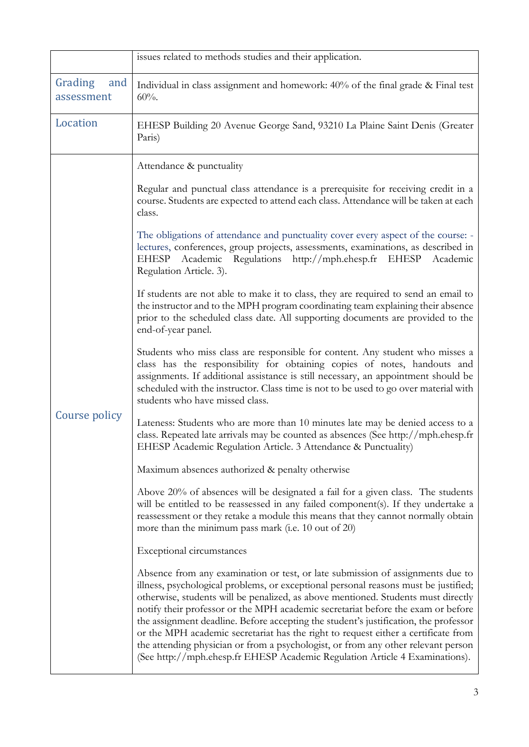|                              | issues related to methods studies and their application.                                                                                                                                                                                                                                                                                                                                                                                                                                                                                                                                                                                                                                         |
|------------------------------|--------------------------------------------------------------------------------------------------------------------------------------------------------------------------------------------------------------------------------------------------------------------------------------------------------------------------------------------------------------------------------------------------------------------------------------------------------------------------------------------------------------------------------------------------------------------------------------------------------------------------------------------------------------------------------------------------|
| Grading<br>and<br>assessment | Individual in class assignment and homework: 40% of the final grade & Final test<br>$60%$ .                                                                                                                                                                                                                                                                                                                                                                                                                                                                                                                                                                                                      |
| Location                     | EHESP Building 20 Avenue George Sand, 93210 La Plaine Saint Denis (Greater<br>Paris)                                                                                                                                                                                                                                                                                                                                                                                                                                                                                                                                                                                                             |
|                              | Attendance & punctuality                                                                                                                                                                                                                                                                                                                                                                                                                                                                                                                                                                                                                                                                         |
| Course policy                | Regular and punctual class attendance is a prerequisite for receiving credit in a<br>course. Students are expected to attend each class. Attendance will be taken at each<br>class.                                                                                                                                                                                                                                                                                                                                                                                                                                                                                                              |
|                              | The obligations of attendance and punctuality cover every aspect of the course: -<br>lectures, conferences, group projects, assessments, examinations, as described in<br>Academic Regulations http://mph.ehesp.fr EHESP<br><b>EHESP</b><br>Academic<br>Regulation Article. 3).                                                                                                                                                                                                                                                                                                                                                                                                                  |
|                              | If students are not able to make it to class, they are required to send an email to<br>the instructor and to the MPH program coordinating team explaining their absence<br>prior to the scheduled class date. All supporting documents are provided to the<br>end-of-year panel.                                                                                                                                                                                                                                                                                                                                                                                                                 |
|                              | Students who miss class are responsible for content. Any student who misses a<br>class has the responsibility for obtaining copies of notes, handouts and<br>assignments. If additional assistance is still necessary, an appointment should be<br>scheduled with the instructor. Class time is not to be used to go over material with<br>students who have missed class.                                                                                                                                                                                                                                                                                                                       |
|                              | Lateness: Students who are more than 10 minutes late may be denied access to a<br>class. Repeated late arrivals may be counted as absences (See http://mph.ehesp.fr<br>EHESP Academic Regulation Article. 3 Attendance & Punctuality)                                                                                                                                                                                                                                                                                                                                                                                                                                                            |
|                              | Maximum absences authorized & penalty otherwise                                                                                                                                                                                                                                                                                                                                                                                                                                                                                                                                                                                                                                                  |
|                              | Above 20% of absences will be designated a fail for a given class. The students<br>will be entitled to be reassessed in any failed component(s). If they undertake a<br>reassessment or they retake a module this means that they cannot normally obtain<br>more than the minimum pass mark (i.e. 10 out of 20)                                                                                                                                                                                                                                                                                                                                                                                  |
|                              | Exceptional circumstances                                                                                                                                                                                                                                                                                                                                                                                                                                                                                                                                                                                                                                                                        |
|                              | Absence from any examination or test, or late submission of assignments due to<br>illness, psychological problems, or exceptional personal reasons must be justified;<br>otherwise, students will be penalized, as above mentioned. Students must directly<br>notify their professor or the MPH academic secretariat before the exam or before<br>the assignment deadline. Before accepting the student's justification, the professor<br>or the MPH academic secretariat has the right to request either a certificate from<br>the attending physician or from a psychologist, or from any other relevant person<br>(See http://mph.ehesp.fr EHESP Academic Regulation Article 4 Examinations). |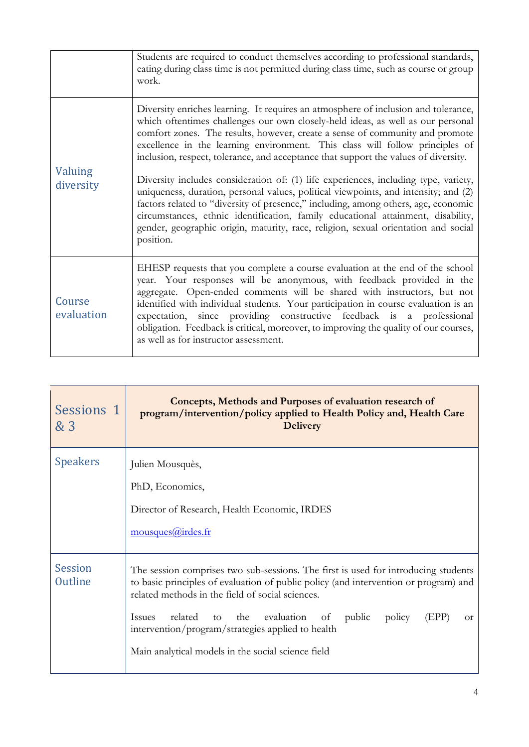|                      | Students are required to conduct themselves according to professional standards,<br>eating during class time is not permitted during class time, such as course or group<br>work.                                                                                                                                                                                                                                                                                                                                                                                                                                                                                                                                                                                                                                                                                                       |
|----------------------|-----------------------------------------------------------------------------------------------------------------------------------------------------------------------------------------------------------------------------------------------------------------------------------------------------------------------------------------------------------------------------------------------------------------------------------------------------------------------------------------------------------------------------------------------------------------------------------------------------------------------------------------------------------------------------------------------------------------------------------------------------------------------------------------------------------------------------------------------------------------------------------------|
| Valuing<br>diversity | Diversity enriches learning. It requires an atmosphere of inclusion and tolerance,<br>which oftentimes challenges our own closely-held ideas, as well as our personal<br>comfort zones. The results, however, create a sense of community and promote<br>excellence in the learning environment. This class will follow principles of<br>inclusion, respect, tolerance, and acceptance that support the values of diversity.<br>Diversity includes consideration of: (1) life experiences, including type, variety,<br>uniqueness, duration, personal values, political viewpoints, and intensity; and (2)<br>factors related to "diversity of presence," including, among others, age, economic<br>circumstances, ethnic identification, family educational attainment, disability,<br>gender, geographic origin, maturity, race, religion, sexual orientation and social<br>position. |
| Course<br>evaluation | EHESP requests that you complete a course evaluation at the end of the school<br>year. Your responses will be anonymous, with feedback provided in the<br>aggregate. Open-ended comments will be shared with instructors, but not<br>identified with individual students. Your participation in course evaluation is an<br>expectation, since providing constructive feedback is a professional<br>obligation. Feedback is critical, moreover, to improving the quality of our courses,<br>as well as for instructor assessment.                                                                                                                                                                                                                                                                                                                                                        |

| Sessions 1<br>& 3         | Concepts, Methods and Purposes of evaluation research of<br>program/intervention/policy applied to Health Policy and, Health Care<br><b>Delivery</b>                                                                                                                                                                                                                                                                                        |
|---------------------------|---------------------------------------------------------------------------------------------------------------------------------------------------------------------------------------------------------------------------------------------------------------------------------------------------------------------------------------------------------------------------------------------------------------------------------------------|
| <b>Speakers</b>           | Julien Mousquès,<br>PhD, Economics,<br>Director of Research, Health Economic, IRDES<br>mousques@irdes.fr                                                                                                                                                                                                                                                                                                                                    |
| <b>Session</b><br>Outline | The session comprises two sub-sessions. The first is used for introducing students<br>to basic principles of evaluation of public policy (and intervention or program) and<br>related methods in the field of social sciences.<br>the evaluation of public<br>related<br>policy<br><i>Issues</i><br>to<br>(EPP)<br><sub>or</sub><br>intervention/program/strategies applied to health<br>Main analytical models in the social science field |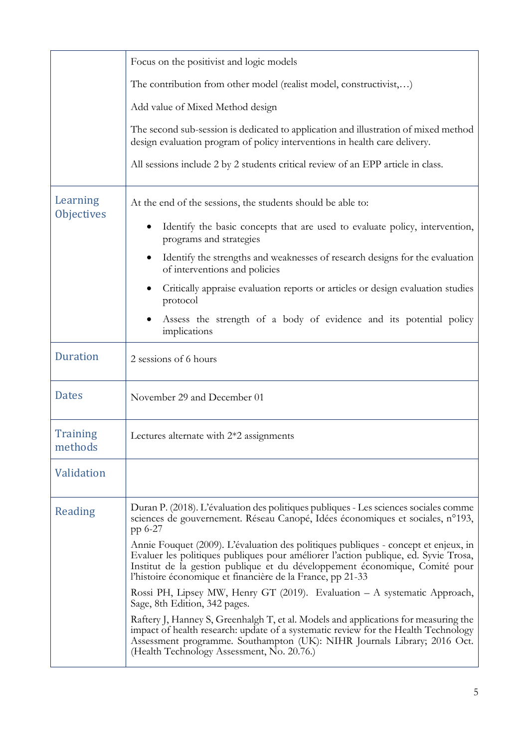|                               | Focus on the positivist and logic models                                                                                                                                                                                                                                                                                |
|-------------------------------|-------------------------------------------------------------------------------------------------------------------------------------------------------------------------------------------------------------------------------------------------------------------------------------------------------------------------|
|                               | The contribution from other model (realist model, constructivist,)                                                                                                                                                                                                                                                      |
|                               | Add value of Mixed Method design                                                                                                                                                                                                                                                                                        |
|                               | The second sub-session is dedicated to application and illustration of mixed method<br>design evaluation program of policy interventions in health care delivery.                                                                                                                                                       |
|                               | All sessions include 2 by 2 students critical review of an EPP article in class.                                                                                                                                                                                                                                        |
| Learning<br><b>Objectives</b> | At the end of the sessions, the students should be able to:                                                                                                                                                                                                                                                             |
|                               | Identify the basic concepts that are used to evaluate policy, intervention,<br>programs and strategies                                                                                                                                                                                                                  |
|                               | Identify the strengths and weaknesses of research designs for the evaluation<br>of interventions and policies                                                                                                                                                                                                           |
|                               | Critically appraise evaluation reports or articles or design evaluation studies<br>protocol                                                                                                                                                                                                                             |
|                               | Assess the strength of a body of evidence and its potential policy<br>implications                                                                                                                                                                                                                                      |
| <b>Duration</b>               | 2 sessions of 6 hours                                                                                                                                                                                                                                                                                                   |
| <b>Dates</b>                  | November 29 and December 01                                                                                                                                                                                                                                                                                             |
| <b>Training</b><br>methods    | Lectures alternate with $2*2$ assignments                                                                                                                                                                                                                                                                               |
| <b>Validation</b>             |                                                                                                                                                                                                                                                                                                                         |
| Reading                       | Duran P. (2018). L'évaluation des politiques publiques - Les sciences sociales comme<br>sciences de gouvernement. Réseau Canopé, Idées économiques et sociales, n°193,<br>pp 6-27                                                                                                                                       |
|                               | Annie Fouquet (2009). L'évaluation des politiques publiques - concept et enjeux, in<br>Evaluer les politiques publiques pour améliorer l'action publique, ed. Syvie Trosa,<br>Institut de la gestion publique et du développement économique, Comité pour<br>l'histoire économique et financière de la France, pp 21-33 |
|                               | Rossi PH, Lipsey MW, Henry GT (2019). Evaluation - A systematic Approach,<br>Sage, 8th Edition, 342 pages.                                                                                                                                                                                                              |
|                               | Raftery J, Hanney S, Greenhalgh T, et al. Models and applications for measuring the<br>impact of health research: update of a systematic review for the Health Technology<br>Assessment programme. Southampton (UK): NIHR Journals Library; 2016 Oct.<br>(Health Technology Assessment, No. 20.76.)                     |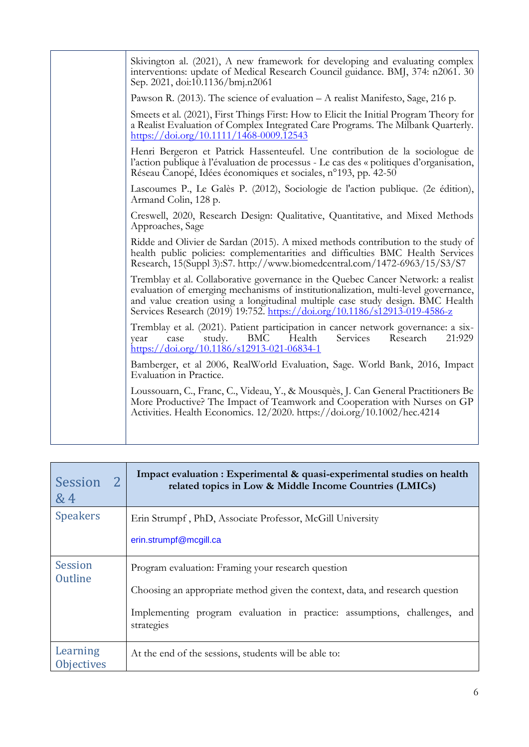| Skivington al. (2021), A new framework for developing and evaluating complex<br>interventions: update of Medical Research Council guidance. BMJ, 374: n2061. 30                                                                                                                                                                        |
|----------------------------------------------------------------------------------------------------------------------------------------------------------------------------------------------------------------------------------------------------------------------------------------------------------------------------------------|
| Sep. 2021, doi:10.1136/bmj.n2061                                                                                                                                                                                                                                                                                                       |
| Pawson R. (2013). The science of evaluation - A realist Manifesto, Sage, 216 p.                                                                                                                                                                                                                                                        |
| Smeets et al. (2021), First Things First: How to Elicit the Initial Program Theory for<br>a Realist Evaluation of Complex Integrated Care Programs. The Milbank Quarterly.<br>https://doi.org/10.1111/1468-0009.12543                                                                                                                  |
| Henri Bergeron et Patrick Hassenteufel. Une contribution de la sociologue de<br>l'action publique à l'évaluation de processus - Le cas des « politiques d'organisation,<br>Réseau Canopé, Idées économiques et sociales, n°193, pp. 42-50                                                                                              |
| Lascoumes P., Le Galès P. (2012), Sociologie de l'action publique. (2e édition),<br>Armand Colin, 128 p.                                                                                                                                                                                                                               |
| Creswell, 2020, Research Design: Qualitative, Quantitative, and Mixed Methods<br>Approaches, Sage                                                                                                                                                                                                                                      |
| Ridde and Olivier de Sardan (2015). A mixed methods contribution to the study of<br>health public policies: complementarities and difficulties BMC Health Services<br>Research, 15(Suppl 3):S7. http://www.biomedcentral.com/1472-6963/15/S3/S7                                                                                        |
| Tremblay et al. Collaborative governance in the Quebec Cancer Network: a realist<br>evaluation of emerging mechanisms of institutionalization, multi-level governance,<br>and value creation using a longitudinal multiple case study design. BMC Health<br>Services Research (2019) 19:752. https://doi.org/10.1186/s12913-019-4586-z |
| Tremblay et al. (2021). Patient participation in cancer network governance: a six-<br>Research<br>study.<br>BMC<br>Health<br>Services<br>21:929<br>case<br>year<br>$\frac{\text{https://doi.org/10.1186/s12913-021-06834-1}}{2}$                                                                                                       |
| Bamberger, et al 2006, RealWorld Evaluation, Sage. World Bank, 2016, Impact<br>Evaluation in Practice.                                                                                                                                                                                                                                 |
| Loussouarn, C., Franc, C., Videau, Y., & Mousquès, J. Can General Practitioners Be<br>More Productive? The Impact of Teamwork and Cooperation with Nurses on GP<br>Activities. Health Economics. 12/2020. https://doi.org/10.1002/hec.4214                                                                                             |
|                                                                                                                                                                                                                                                                                                                                        |

| <b>Session</b><br>&4          | Impact evaluation : Experimental & quasi-experimental studies on health<br>related topics in Low & Middle Income Countries (LMICs)                                                                                             |
|-------------------------------|--------------------------------------------------------------------------------------------------------------------------------------------------------------------------------------------------------------------------------|
| <b>Speakers</b>               | Erin Strumpf, PhD, Associate Professor, McGill University<br>erin.strumpf@mcgill.ca                                                                                                                                            |
| <b>Session</b><br>Outline     | Program evaluation: Framing your research question<br>Choosing an appropriate method given the context, data, and research question<br>Implementing program evaluation in practice: assumptions, challenges, and<br>strategies |
| Learning<br><b>Objectives</b> | At the end of the sessions, students will be able to:                                                                                                                                                                          |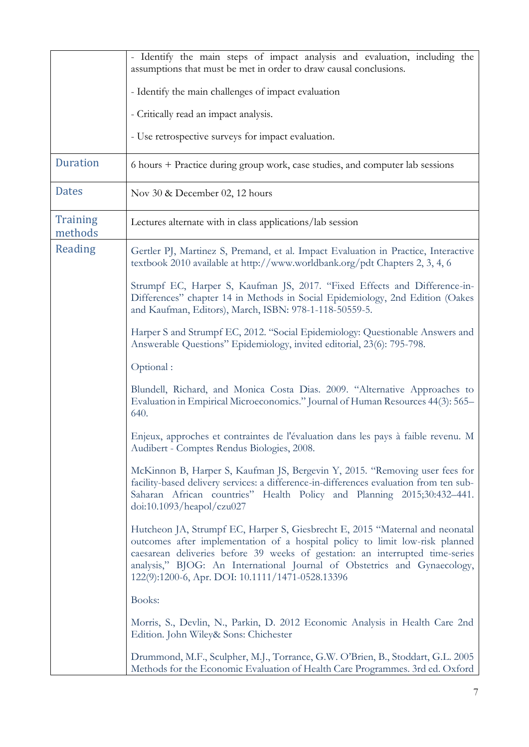|                            | - Identify the main steps of impact analysis and evaluation, including the<br>assumptions that must be met in order to draw causal conclusions.                                                                                                                                                                                                                               |
|----------------------------|-------------------------------------------------------------------------------------------------------------------------------------------------------------------------------------------------------------------------------------------------------------------------------------------------------------------------------------------------------------------------------|
|                            | - Identify the main challenges of impact evaluation                                                                                                                                                                                                                                                                                                                           |
|                            | - Critically read an impact analysis.                                                                                                                                                                                                                                                                                                                                         |
|                            | - Use retrospective surveys for impact evaluation.                                                                                                                                                                                                                                                                                                                            |
| <b>Duration</b>            | 6 hours + Practice during group work, case studies, and computer lab sessions                                                                                                                                                                                                                                                                                                 |
| <b>Dates</b>               | Nov 30 & December 02, 12 hours                                                                                                                                                                                                                                                                                                                                                |
| <b>Training</b><br>methods | Lectures alternate with in class applications/lab session                                                                                                                                                                                                                                                                                                                     |
| Reading                    | Gertler PJ, Martinez S, Premand, et al. Impact Evaluation in Practice, Interactive<br>textbook 2010 available at http://www.worldbank.org/pdt Chapters 2, 3, 4, 6                                                                                                                                                                                                             |
|                            | Strumpf EC, Harper S, Kaufman JS, 2017. "Fixed Effects and Difference-in-<br>Differences" chapter 14 in Methods in Social Epidemiology, 2nd Edition (Oakes<br>and Kaufman, Editors), March, ISBN: 978-1-118-50559-5.                                                                                                                                                          |
|                            | Harper S and Strumpf EC, 2012. "Social Epidemiology: Questionable Answers and<br>Answerable Questions" Epidemiology, invited editorial, 23(6): 795-798.                                                                                                                                                                                                                       |
|                            | Optional:                                                                                                                                                                                                                                                                                                                                                                     |
|                            | Blundell, Richard, and Monica Costa Dias. 2009. "Alternative Approaches to<br>Evaluation in Empirical Microeconomics." Journal of Human Resources 44(3): 565–<br>640.                                                                                                                                                                                                         |
|                            | Enjeux, approches et contraintes de l'évaluation dans les pays à faible revenu. M<br>Audibert - Comptes Rendus Biologies, 2008.                                                                                                                                                                                                                                               |
|                            | McKinnon B, Harper S, Kaufman JS, Bergevin Y, 2015. "Removing user fees for<br>facility-based delivery services: a difference-in-differences evaluation from ten sub-<br>Saharan African countries" Health Policy and Planning 2015;30:432-441.<br>doi:10.1093/heapol/czu027                                                                                                  |
|                            | Hutcheon JA, Strumpf EC, Harper S, Giesbrecht E, 2015 "Maternal and neonatal<br>outcomes after implementation of a hospital policy to limit low-risk planned<br>caesarean deliveries before 39 weeks of gestation: an interrupted time-series<br>analysis," BJOG: An International Journal of Obstetrics and Gynaecology,<br>122(9):1200-6, Apr. DOI: 10.1111/1471-0528.13396 |
|                            | Books:                                                                                                                                                                                                                                                                                                                                                                        |
|                            | Morris, S., Devlin, N., Parkin, D. 2012 Economic Analysis in Health Care 2nd<br>Edition. John Wiley& Sons: Chichester                                                                                                                                                                                                                                                         |
|                            | Drummond, M.F., Sculpher, M.J., Torrance, G.W. O'Brien, B., Stoddart, G.L. 2005<br>Methods for the Economic Evaluation of Health Care Programmes. 3rd ed. Oxford                                                                                                                                                                                                              |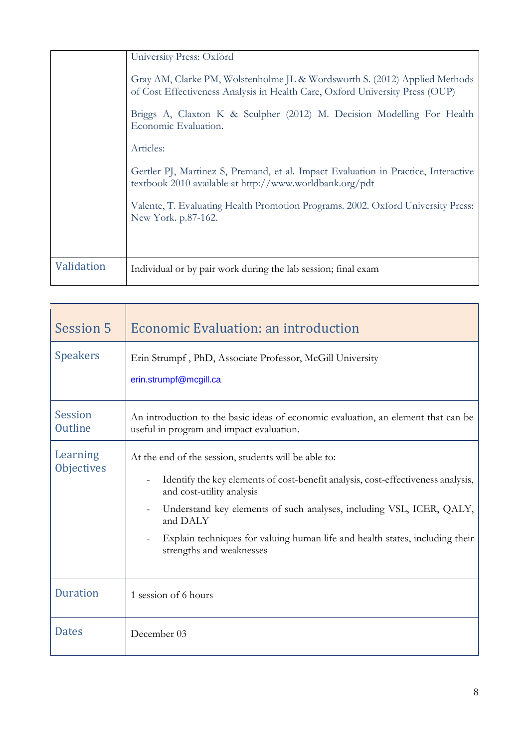|            | University Press: Oxford                                                                                                                                   |
|------------|------------------------------------------------------------------------------------------------------------------------------------------------------------|
|            | Gray AM, Clarke PM, Wolstenholme JL & Wordsworth S. (2012) Applied Methods<br>of Cost Effectiveness Analysis in Health Care, Oxford University Press (OUP) |
|            | Briggs A, Claxton K & Sculpher (2012) M. Decision Modelling For Health<br>Economic Evaluation.                                                             |
|            | Articles:                                                                                                                                                  |
|            | Gertler PJ, Martinez S, Premand, et al. Impact Evaluation in Practice, Interactive<br>textbook 2010 available at http://www.worldbank.org/pdt              |
|            | Valente, T. Evaluating Health Promotion Programs. 2002. Oxford University Press:<br>New York. p.87-162.                                                    |
|            |                                                                                                                                                            |
| Validation | Individual or by pair work during the lab session; final exam                                                                                              |

| <b>Session 5</b>              | Economic Evaluation: an introduction                                                                                                                                                                                                                                                                                                                                  |
|-------------------------------|-----------------------------------------------------------------------------------------------------------------------------------------------------------------------------------------------------------------------------------------------------------------------------------------------------------------------------------------------------------------------|
| <b>Speakers</b>               | Erin Strumpf, PhD, Associate Professor, McGill University<br>erin.strumpf@mcgill.ca                                                                                                                                                                                                                                                                                   |
| <b>Session</b><br>Outline     | An introduction to the basic ideas of economic evaluation, an element that can be<br>useful in program and impact evaluation.                                                                                                                                                                                                                                         |
| Learning<br><b>Objectives</b> | At the end of the session, students will be able to:<br>Identify the key elements of cost-benefit analysis, cost-effectiveness analysis,<br>and cost-utility analysis<br>Understand key elements of such analyses, including VSL, ICER, QALY,<br>and DALY<br>Explain techniques for valuing human life and health states, including their<br>strengths and weaknesses |
| <b>Duration</b>               | 1 session of 6 hours                                                                                                                                                                                                                                                                                                                                                  |
| <b>Dates</b>                  | December 03                                                                                                                                                                                                                                                                                                                                                           |